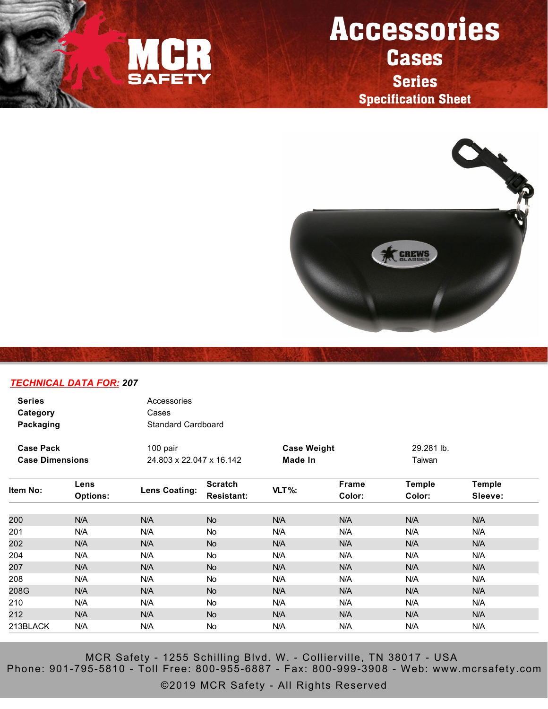

## Accessories **Cases**

Series Specification Sheet



## *TECHNICAL DATA FOR: 207*

| <b>Series</b><br>Category<br>Packaging | Accessories<br>Cases<br>Standard Cardboard |                    |            |
|----------------------------------------|--------------------------------------------|--------------------|------------|
| <b>Case Pack</b>                       | 100 pair                                   | <b>Case Weight</b> | 29.281 lb. |
| <b>Case Dimensions</b>                 | 24.803 x 22.047 x 16.142                   | Made In            | Taiwan     |

| Item No: | Lens            |               | <b>Scratch</b><br><b>Resistant:</b> |          | Frame  | <b>Temple</b> | <b>Temple</b> |
|----------|-----------------|---------------|-------------------------------------|----------|--------|---------------|---------------|
|          | <b>Options:</b> | Lens Coating: |                                     | $VLT$ %: | Color: | Color:        | Sleeve:       |
|          |                 |               |                                     |          |        |               |               |
| 200      | N/A             | N/A           | <b>No</b>                           | N/A      | N/A    | N/A           | N/A           |
| 201      | N/A             | N/A           | <b>No</b>                           | N/A      | N/A    | N/A           | N/A           |
| 202      | N/A             | N/A           | <b>No</b>                           | N/A      | N/A    | N/A           | N/A           |
| 204      | N/A             | N/A           | No                                  | N/A      | N/A    | N/A           | N/A           |
| 207      | N/A             | N/A           | <b>No</b>                           | N/A      | N/A    | N/A           | N/A           |
| 208      | N/A             | N/A           | <b>No</b>                           | N/A      | N/A    | N/A           | N/A           |
| 208G     | N/A             | N/A           | <b>No</b>                           | N/A      | N/A    | N/A           | N/A           |
| 210      | N/A             | N/A           | <b>No</b>                           | N/A      | N/A    | N/A           | N/A           |
| 212      | N/A             | N/A           | <b>No</b>                           | N/A      | N/A    | N/A           | N/A           |
| 213BLACK | N/A             | N/A           | No                                  | N/A      | N/A    | N/A           | N/A           |

MCR Safety - 1255 Schilling Blvd. W. - Collierville, TN 38017 - USA Phone: 901-795-5810 - Toll Free: 800-955-6887 - Fax: 800-999-3908 - Web: www.mcrsafety.com

©2019 MCR Safety - All Rights Reserved